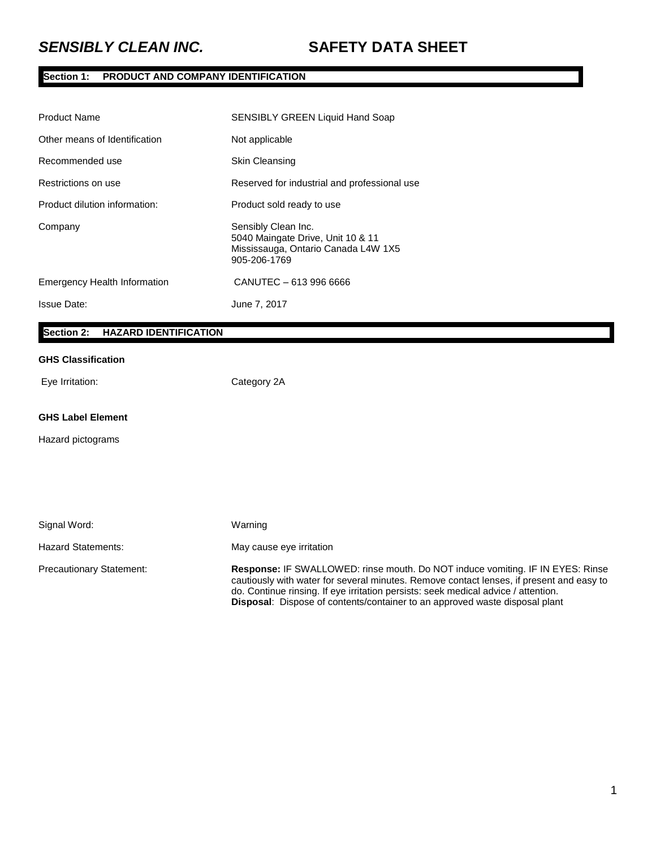# **Section 1: PRODUCT AND COMPANY IDENTIFICATION**

| <b>Product Name</b>                 | <b>SENSIBLY GREEN Liquid Hand Soap</b>                                                                          |
|-------------------------------------|-----------------------------------------------------------------------------------------------------------------|
| Other means of Identification       | Not applicable                                                                                                  |
| Recommended use                     | <b>Skin Cleansing</b>                                                                                           |
| Restrictions on use                 | Reserved for industrial and professional use                                                                    |
| Product dilution information:       | Product sold ready to use                                                                                       |
| Company                             | Sensibly Clean Inc.<br>5040 Maingate Drive, Unit 10 & 11<br>Mississauga, Ontario Canada L4W 1X5<br>905-206-1769 |
| <b>Emergency Health Information</b> | CANUTEC - 613 996 6666                                                                                          |
| <b>Issue Date:</b>                  | June 7, 2017                                                                                                    |
|                                     |                                                                                                                 |

# **Section 2: HAZARD IDENTIFICATION**

### **GHS Classification**

Eye Irritation: Category 2A

#### **GHS Label Element**

Hazard pictograms

| Signal Word:                    | Warning                                                                                                                                                                                                                                                                                                                                                       |
|---------------------------------|---------------------------------------------------------------------------------------------------------------------------------------------------------------------------------------------------------------------------------------------------------------------------------------------------------------------------------------------------------------|
| Hazard Statements:              | May cause eye irritation                                                                                                                                                                                                                                                                                                                                      |
| <b>Precautionary Statement:</b> | <b>Response: IF SWALLOWED: rinse mouth. Do NOT induce vomiting. IF IN EYES: Rinse</b><br>cautiously with water for several minutes. Remove contact lenses, if present and easy to<br>do. Continue rinsing. If eye irritation persists: seek medical advice / attention.<br><b>Disposal:</b> Dispose of contents/container to an approved waste disposal plant |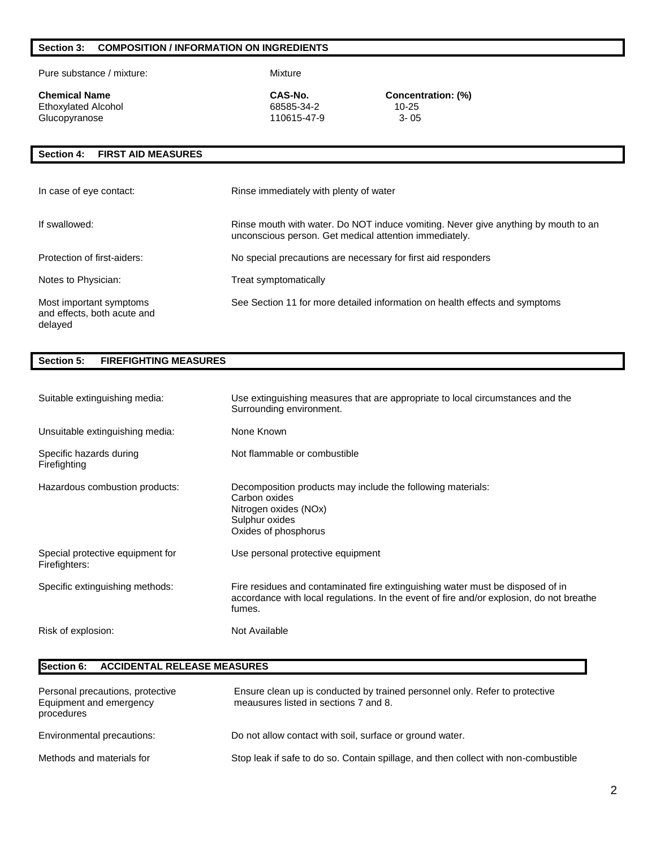### **Section 3: COMPOSITION / INFORMATION ON INGREDIENTS**

Pure substance / mixture: Mixture

Ethoxylated Alcohol 68585-34-2 10-25 Glucopyranose

**CAS-No. CAS-No. CONCERTIBLE CONCERTIBLE CONCENTE CONCENTE CONCENTE Ethoxylated Alcohol <b>CONCERTIBLE CONCENTE CONCERTIBLE CONCERTIBLE** 10-25

### **Section 4: FIRST AID MEASURES**

| In case of eye contact:                                           | Rinse immediately with plenty of water                                                                                                       |
|-------------------------------------------------------------------|----------------------------------------------------------------------------------------------------------------------------------------------|
| If swallowed:                                                     | Rinse mouth with water. Do NOT induce vomiting. Never give anything by mouth to an<br>unconscious person. Get medical attention immediately. |
| Protection of first-aiders:                                       | No special precautions are necessary for first aid responders                                                                                |
| Notes to Physician:                                               | Treat symptomatically                                                                                                                        |
| Most important symptoms<br>and effects, both acute and<br>delayed | See Section 11 for more detailed information on health effects and symptoms                                                                  |

### **Section 5: FIREFIGHTING MEASURES**

| Suitable extinguishing media:                     | Use extinguishing measures that are appropriate to local circumstances and the<br>Surrounding environment.                                                                           |
|---------------------------------------------------|--------------------------------------------------------------------------------------------------------------------------------------------------------------------------------------|
| Unsuitable extinguishing media:                   | None Known                                                                                                                                                                           |
| Specific hazards during<br>Firefighting           | Not flammable or combustible                                                                                                                                                         |
| Hazardous combustion products:                    | Decomposition products may include the following materials:<br>Carbon oxides<br>Nitrogen oxides (NOx)<br>Sulphur oxides<br>Oxides of phosphorus                                      |
| Special protective equipment for<br>Firefighters: | Use personal protective equipment                                                                                                                                                    |
| Specific extinguishing methods:                   | Fire residues and contaminated fire extinguishing water must be disposed of in<br>accordance with local regulations. In the event of fire and/or explosion, do not breathe<br>fumes. |
| Risk of explosion:                                | Not Available                                                                                                                                                                        |

# **Section 6: ACCIDENTAL RELEASE MEASURES**

| Personal precautions, protective<br>Equipment and emergency<br>procedures | Ensure clean up is conducted by trained personnel only. Refer to protective<br>meausures listed in sections 7 and 8. |
|---------------------------------------------------------------------------|----------------------------------------------------------------------------------------------------------------------|
| Environmental precautions:                                                | Do not allow contact with soil, surface or ground water.                                                             |
| Methods and materials for                                                 | Stop leak if safe to do so. Contain spillage, and then collect with non-combustible                                  |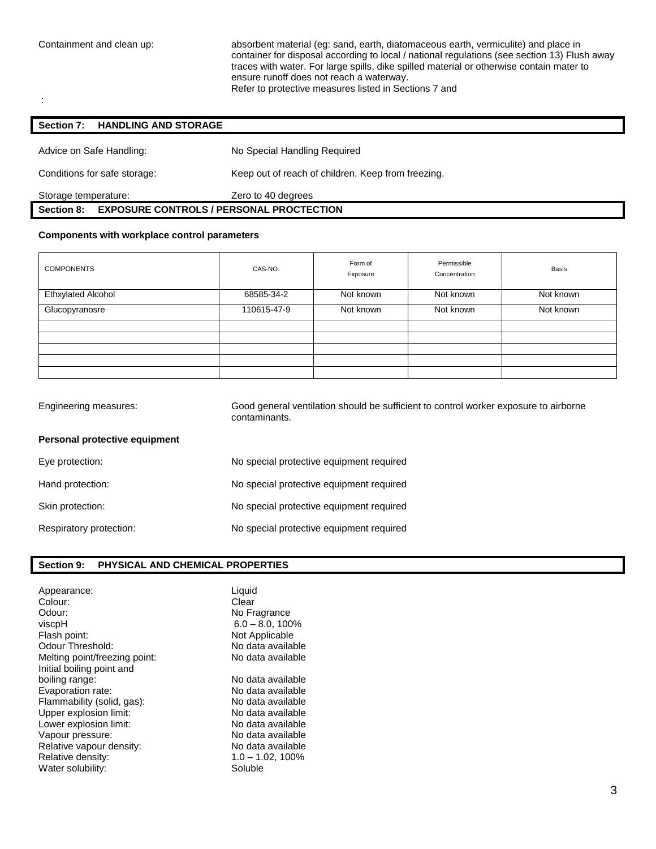:

Containment and clean up: absorbent material (eg: sand, earth, diatomaceous earth, vermiculite) and place in container for disposal according to local / national regulations (see section 13) Flush away traces with water. For large spills, dike spilled material or otherwise contain mater to ensure runoff does not reach a waterway. Refer to protective measures listed in Sections 7 and

# **Section 7: HANDLING AND STORAGE**

| <b>EXPOSURE CONTROLS / PERSONAL PROCTECTION</b><br><b>Section 8:</b> |                                                    |  |
|----------------------------------------------------------------------|----------------------------------------------------|--|
| Storage temperature:                                                 | Zero to 40 degrees                                 |  |
| Conditions for safe storage:                                         | Keep out of reach of children. Keep from freezing. |  |
| Advice on Safe Handling:                                             | No Special Handling Required                       |  |

#### **Components with workplace control parameters**

| <b>COMPONENTS</b>         | CAS-NO.     | Form of<br>Exposure | Permissible<br>Concentration | Basis     |
|---------------------------|-------------|---------------------|------------------------------|-----------|
| <b>Ethxylated Alcohol</b> | 68585-34-2  | Not known           | Not known                    | Not known |
| Glucopyranosre            | 110615-47-9 | Not known           | Not known                    | Not known |
|                           |             |                     |                              |           |
|                           |             |                     |                              |           |
|                           |             |                     |                              |           |
|                           |             |                     |                              |           |
|                           |             |                     |                              |           |

| Engineering measures:         | Good general ventilation should be sufficient to control worker exposure to airborne<br>contaminants. |
|-------------------------------|-------------------------------------------------------------------------------------------------------|
| Personal protective equipment |                                                                                                       |
| Eye protection:               | No special protective equipment required                                                              |
| Hand protection:              | No special protective equipment required                                                              |
| Skin protection:              | No special protective equipment required                                                              |
| Respiratory protection:       | No special protective equipment required                                                              |

#### **Section 9: PHYSICAL AND CHEMICAL PROPERTIES**

| Appearance:<br>Colour:<br>Odour:<br>viscpH<br>Flash point:<br>Odour Threshold:<br>Melting point/freezing point:<br>Initial boiling point and | Liquid<br>Clear<br>No Fragrance<br>$6.0 - 8.0$ , 100%<br>Not Applicable<br>No data available<br>No data available |
|----------------------------------------------------------------------------------------------------------------------------------------------|-------------------------------------------------------------------------------------------------------------------|
| boiling range:                                                                                                                               | No data available                                                                                                 |
| Evaporation rate:                                                                                                                            | No data available                                                                                                 |
| Flammability (solid, gas):                                                                                                                   | No data available                                                                                                 |
| Upper explosion limit:                                                                                                                       | No data available                                                                                                 |
| Lower explosion limit:                                                                                                                       | No data available                                                                                                 |
| Vapour pressure:                                                                                                                             | No data available                                                                                                 |
| Relative vapour density:                                                                                                                     | No data available                                                                                                 |
| Relative density:                                                                                                                            | $1.0 - 1.02, 100\%$                                                                                               |
| Water solubility:                                                                                                                            | Soluble                                                                                                           |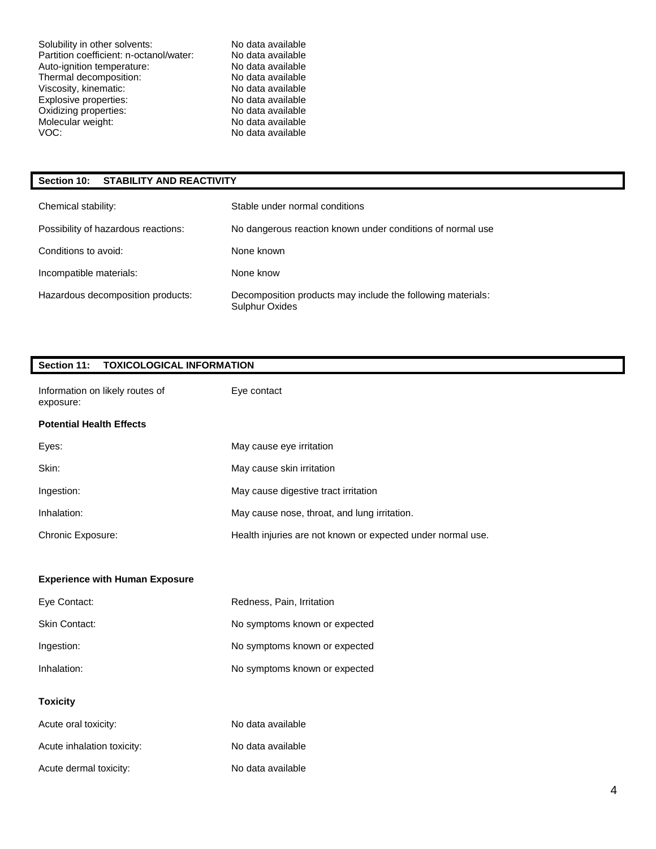Solubility in other solvents: No data available<br>
Partition coefficient: n-octanol/water: No data available Partition coefficient: n-octanol/water: No data available Auto-ignition temperature: No data available<br>
Thermal decomposition: No data available Thermal decomposition: No data available<br>Viscosity, kinematic: No data available Viscosity, kinematic: No data available<br>
Explosive properties: No data available Explosive properties: Oxidizing properties: No data available Molecular weight: No data available VOC: VOC: No data available

#### **Section 10: STABILITY AND REACTIVITY**

| Chemical stability:                 | Stable under normal conditions                                                |
|-------------------------------------|-------------------------------------------------------------------------------|
| Possibility of hazardous reactions: | No dangerous reaction known under conditions of normal use                    |
| Conditions to avoid:                | None known                                                                    |
| Incompatible materials:             | None know                                                                     |
| Hazardous decomposition products:   | Decomposition products may include the following materials:<br>Sulphur Oxides |

#### **Section 11: TOXICOLOGICAL INFORMATION**

| Information on likely routes of<br>exposure: | Eye contact                                                 |
|----------------------------------------------|-------------------------------------------------------------|
| <b>Potential Health Effects</b>              |                                                             |
| Eyes:                                        | May cause eye irritation                                    |
| Skin:                                        | May cause skin irritation                                   |
| Ingestion:                                   | May cause digestive tract irritation                        |
| Inhalation:                                  | May cause nose, throat, and lung irritation.                |
| Chronic Exposure:                            | Health injuries are not known or expected under normal use. |
|                                              |                                                             |
|                                              |                                                             |
| <b>Experience with Human Exposure</b>        |                                                             |
| Eye Contact:                                 | Redness, Pain, Irritation                                   |
| <b>Skin Contact:</b>                         | No symptoms known or expected                               |
| Ingestion:                                   | No symptoms known or expected                               |
| Inhalation:                                  | No symptoms known or expected                               |
| <b>Toxicity</b>                              |                                                             |
| Acute oral toxicity:                         | No data available                                           |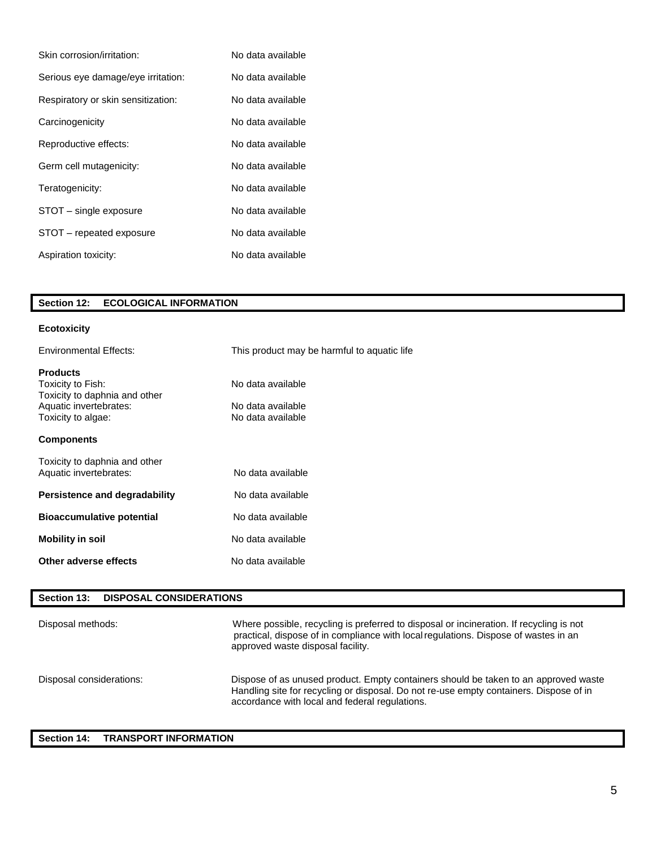| Skin corrosion/irritation:         | No data available |
|------------------------------------|-------------------|
| Serious eye damage/eye irritation: | No data available |
| Respiratory or skin sensitization: | No data available |
| Carcinogenicity                    | No data available |
| Reproductive effects:              | No data available |
| Germ cell mutagenicity:            | No data available |
| Teratogenicity:                    | No data available |
| STOT – single exposure             | No data available |
| STOT - repeated exposure           | No data available |
| Aspiration toxicity:               | No data available |

### **Section 12: ECOLOGICAL INFORMATION**

### **Ecotoxicity**

| <b>Environmental Effects:</b>                                                                                         | This product may be harmful to aquatic life                 |
|-----------------------------------------------------------------------------------------------------------------------|-------------------------------------------------------------|
| <b>Products</b><br>Toxicity to Fish:<br>Toxicity to daphnia and other<br>Aquatic invertebrates:<br>Toxicity to algae: | No data available<br>No data available<br>No data available |
| <b>Components</b>                                                                                                     |                                                             |
| Toxicity to daphnia and other<br>Aquatic invertebrates:                                                               | No data available                                           |
| Persistence and degradability                                                                                         | No data available                                           |
| <b>Bioaccumulative potential</b>                                                                                      | No data available                                           |
| <b>Mobility in soil</b>                                                                                               | No data available                                           |
| Other adverse effects                                                                                                 | No data available                                           |
|                                                                                                                       |                                                             |

### **Section 13: DISPOSAL CONSIDERATIONS**

| Disposal methods:        | Where possible, recycling is preferred to disposal or incineration. If recycling is not<br>practical, dispose of in compliance with local regulations. Dispose of wastes in an<br>approved waste disposal facility.             |
|--------------------------|---------------------------------------------------------------------------------------------------------------------------------------------------------------------------------------------------------------------------------|
| Disposal considerations: | Dispose of as unused product. Empty containers should be taken to an approved waste<br>Handling site for recycling or disposal. Do not re-use empty containers. Dispose of in<br>accordance with local and federal regulations. |

### **Section 14: TRANSPORT INFORMATION**